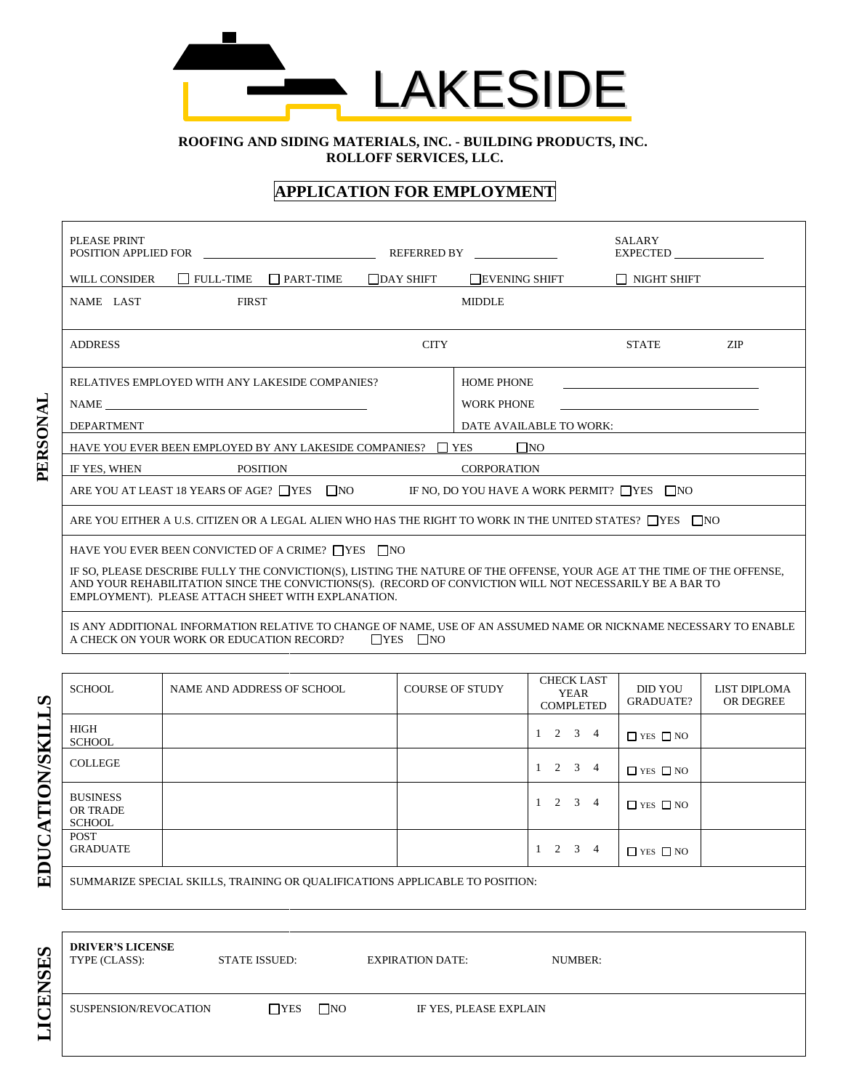

 **ROOFING AND SIDING MATERIALS, INC. - BUILDING PRODUCTS, INC. ROLLOFF SERVICES, LLC.**

## **APPLICATION FOR EMPLOYMENT**

| PLEASE PRINT<br>POSITION APPLIED FOR                                                                                                                                                                                                                                                                                                                       |                  | REFERRED BY                                            | <b>SALARY</b><br><b>EXPECTED</b> |            |
|------------------------------------------------------------------------------------------------------------------------------------------------------------------------------------------------------------------------------------------------------------------------------------------------------------------------------------------------------------|------------------|--------------------------------------------------------|----------------------------------|------------|
| $\Box$ FULL-TIME<br>WILL CONSIDER<br>$\Box$ PART-TIME                                                                                                                                                                                                                                                                                                      | $\Box$ DAY SHIFT | <b>EVENING SHIFT</b>                                   | I NIGHT SHIFT                    |            |
| NAME LAST<br><b>FIRST</b>                                                                                                                                                                                                                                                                                                                                  |                  | <b>MIDDLE</b>                                          |                                  |            |
| <b>ADDRESS</b>                                                                                                                                                                                                                                                                                                                                             | <b>CITY</b>      |                                                        | <b>STATE</b>                     | <b>ZIP</b> |
| RELATIVES EMPLOYED WITH ANY LAKESIDE COMPANIES?                                                                                                                                                                                                                                                                                                            |                  | <b>HOME PHONE</b>                                      |                                  |            |
| NAME                                                                                                                                                                                                                                                                                                                                                       |                  | <b>WORK PHONE</b>                                      |                                  |            |
| <b>DEPARTMENT</b>                                                                                                                                                                                                                                                                                                                                          |                  | DATE AVAILABLE TO WORK:                                |                                  |            |
| HAVE YOU EVER BEEN EMPLOYED BY ANY LAKESIDE COMPANIES?                                                                                                                                                                                                                                                                                                     |                  | $\square$ NO<br>$\Box$ YES                             |                                  |            |
| <b>POSITION</b><br>IF YES, WHEN                                                                                                                                                                                                                                                                                                                            |                  | <b>CORPORATION</b>                                     |                                  |            |
| ARE YOU AT LEAST 18 YEARS OF AGE? $\Box$ YES $\Box$ NO                                                                                                                                                                                                                                                                                                     |                  | IF NO. DO YOU HAVE A WORK PERMIT? $\Box$ YES $\Box$ NO |                                  |            |
| ARE YOU EITHER A U.S. CITIZEN OR A LEGAL ALIEN WHO HAS THE RIGHT TO WORK IN THE UNITED STATES? $\Box$ YES $\Box$ NO                                                                                                                                                                                                                                        |                  |                                                        |                                  |            |
| HAVE YOU EVER BEEN CONVICTED OF A CRIME? $\Box$ YES $\Box$ NO<br>IF SO, PLEASE DESCRIBE FULLY THE CONVICTION(S), LISTING THE NATURE OF THE OFFENSE, YOUR AGE AT THE TIME OF THE OFFENSE,<br>AND YOUR REHABILITATION SINCE THE CONVICTIONS(S). (RECORD OF CONVICTION WILL NOT NECESSARILY BE A BAR TO<br>EMPLOYMENT). PLEASE ATTACH SHEET WITH EXPLANATION. |                  |                                                        |                                  |            |

IS ANY ADDITIONAL INFORMATION RELATIVE TO CHANGE OF NAME, USE OF AN ASSUMED NAME OR NICKNAME NECESSARY TO ENABLE A CHECK ON YOUR WORK OR EDUCATION RECORD?  $\Box$  YES  $\Box$  NO

| $\boldsymbol{\omega}$            | <b>SCHOOL</b>                                       | NAME AND ADDRESS OF SCHOOL                                                   | <b>COURSE OF STUDY</b> | <b>CHECK LAST</b><br>YEAR<br><b>COMPLETED</b> | <b>DID YOU</b><br><b>GRADUATE?</b> | <b>LIST DIPLOMA</b><br>OR DEGREE |
|----------------------------------|-----------------------------------------------------|------------------------------------------------------------------------------|------------------------|-----------------------------------------------|------------------------------------|----------------------------------|
| $\overline{\phantom{0}}$         | <b>HIGH</b><br><b>SCHOOL</b>                        |                                                                              |                        | $1 \quad 2 \quad 3$<br>4                      | $\Box$ YES $\Box$ NO               |                                  |
|                                  | <b>COLLEGE</b>                                      |                                                                              |                        | $1 \t2 \t3 \t4$                               | $\Box$ YES $\Box$ NO               |                                  |
| TIONSKII<br>$\blacktriangleleft$ | <b>BUSINESS</b><br><b>OR TRADE</b><br><b>SCHOOL</b> |                                                                              |                        | $1 \quad 2 \quad 3$<br>4                      | $\Box$ YES $\Box$ NO               |                                  |
| EDUC                             | <b>POST</b><br><b>GRADUATE</b>                      |                                                                              |                        | $1 \quad 2 \quad 3$<br>4                      | $\Box$ YES $\Box$ NO               |                                  |
|                                  |                                                     | SUMMARIZE SPECIAL SKILLS, TRAINING OR QUALIFICATIONS APPLICABLE TO POSITION: |                        |                                               |                                    |                                  |

| <b>SES</b><br>Z  | <b>DRIVER'S LICENSE</b><br>TYPE (CLASS): | <b>STATE ISSUED:</b> |           | <b>EXPIRATION DATE:</b> | NUMBER: |
|------------------|------------------------------------------|----------------------|-----------|-------------------------|---------|
| 囯<br>◡<br>▬<br>− | SUSPENSION/REVOCATION                    | $\Box$ YES           | $\Box$ NO | IF YES, PLEASE EXPLAIN  |         |

**PERSONAL**